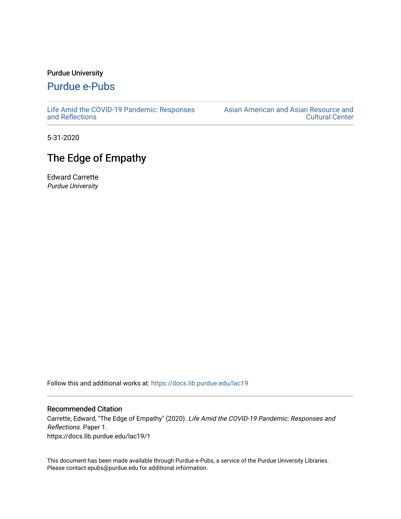## Purdue University

## [Purdue e-Pubs](https://docs.lib.purdue.edu/)

[Life Amid the COVID-19 Pandemic: Responses](https://docs.lib.purdue.edu/lac19)  [and Reflections](https://docs.lib.purdue.edu/lac19) 

[Asian American and Asian Resource and](https://docs.lib.purdue.edu/aaarcc)  [Cultural Center](https://docs.lib.purdue.edu/aaarcc) 

5-31-2020

## The Edge of Empathy

Edward Carrette Purdue University

Follow this and additional works at: [https://docs.lib.purdue.edu/lac19](https://docs.lib.purdue.edu/lac19?utm_source=docs.lib.purdue.edu%2Flac19%2F1&utm_medium=PDF&utm_campaign=PDFCoverPages)

## Recommended Citation

Carrette, Edward, "The Edge of Empathy" (2020). Life Amid the COVID-19 Pandemic: Responses and Reflections. Paper 1. https://docs.lib.purdue.edu/lac19/1

This document has been made available through Purdue e-Pubs, a service of the Purdue University Libraries. Please contact epubs@purdue.edu for additional information.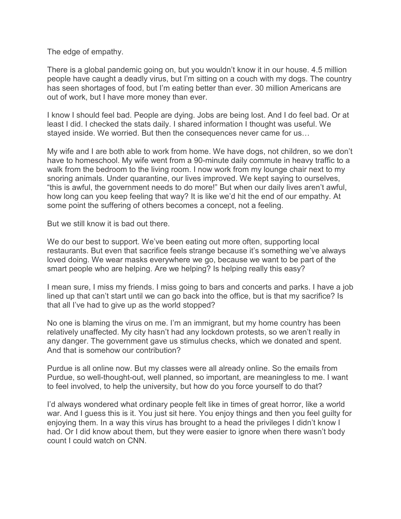The edge of empathy.

There is a global pandemic going on, but you wouldn't know it in our house. 4.5 million people have caught a deadly virus, but I'm sitting on a couch with my dogs. The country has seen shortages of food, but I'm eating better than ever. 30 million Americans are out of work, but I have more money than ever.

I know I should feel bad. People are dying. Jobs are being lost. And I do feel bad. Or at least I did. I checked the stats daily. I shared information I thought was useful. We stayed inside. We worried. But then the consequences never came for us…

My wife and I are both able to work from home. We have dogs, not children, so we don't have to homeschool. My wife went from a 90-minute daily commute in heavy traffic to a walk from the bedroom to the living room. I now work from my lounge chair next to my snoring animals. Under quarantine, our lives improved. We kept saying to ourselves, "this is awful, the government needs to do more!" But when our daily lives aren't awful, how long can you keep feeling that way? It is like we'd hit the end of our empathy. At some point the suffering of others becomes a concept, not a feeling.

But we still know it is bad out there.

We do our best to support. We've been eating out more often, supporting local restaurants. But even that sacrifice feels strange because it's something we've always loved doing. We wear masks everywhere we go, because we want to be part of the smart people who are helping. Are we helping? Is helping really this easy?

I mean sure, I miss my friends. I miss going to bars and concerts and parks. I have a job lined up that can't start until we can go back into the office, but is that my sacrifice? Is that all I've had to give up as the world stopped?

No one is blaming the virus on me. I'm an immigrant, but my home country has been relatively unaffected. My city hasn't had any lockdown protests, so we aren't really in any danger. The government gave us stimulus checks, which we donated and spent. And that is somehow our contribution?

Purdue is all online now. But my classes were all already online. So the emails from Purdue, so well-thought-out, well planned, so important, are meaningless to me. I want to feel involved, to help the university, but how do you force yourself to do that?

I'd always wondered what ordinary people felt like in times of great horror, like a world war. And I guess this is it. You just sit here. You enjoy things and then you feel guilty for enjoying them. In a way this virus has brought to a head the privileges I didn't know I had. Or I did know about them, but they were easier to ignore when there wasn't body count I could watch on CNN.